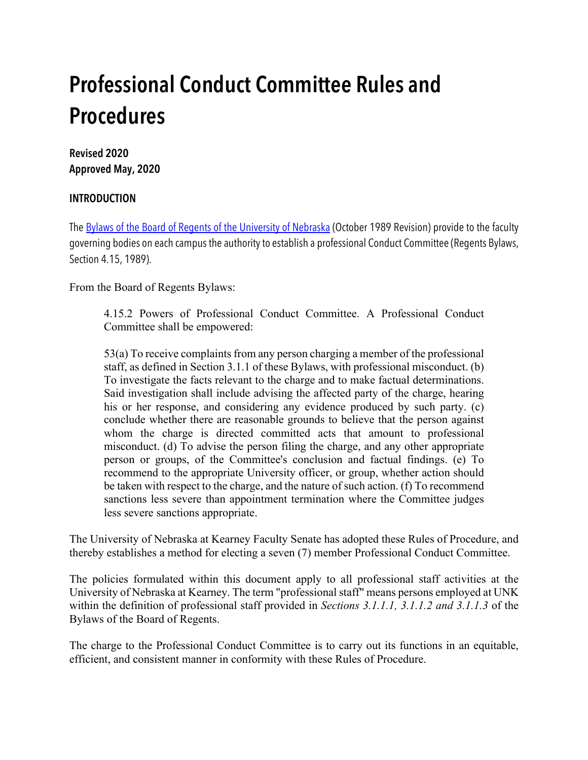# **Professional Conduct Committee Rules and Procedures**

# **Revised 2020 Approved May, 2020**

## **INTRODUCTION**

The Bylaws of the Board of Regents of the University of Nebraska (October 1989 Revision) provide to the faculty governing bodies on each campus the authority to establish a professional Conduct Committee (Regents Bylaws, Section 4.15, 1989).

From the Board of Regents Bylaws:

4.15.2 Powers of Professional Conduct Committee. A Professional Conduct Committee shall be empowered:

53(a) To receive complaints from any person charging a member of the professional staff, as defined in Section 3.1.1 of these Bylaws, with professional misconduct. (b) To investigate the facts relevant to the charge and to make factual determinations. Said investigation shall include advising the affected party of the charge, hearing his or her response, and considering any evidence produced by such party. (c) conclude whether there are reasonable grounds to believe that the person against whom the charge is directed committed acts that amount to professional misconduct. (d) To advise the person filing the charge, and any other appropriate person or groups, of the Committee's conclusion and factual findings. (e) To recommend to the appropriate University officer, or group, whether action should be taken with respect to the charge, and the nature of such action. (f) To recommend sanctions less severe than appointment termination where the Committee judges less severe sanctions appropriate.

The University of Nebraska at Kearney Faculty Senate has adopted these Rules of Procedure, and thereby establishes a method for electing a seven (7) member Professional Conduct Committee.

The policies formulated within this document apply to all professional staff activities at the University of Nebraska at Kearney. The term "professional staff" means persons employed at UNK within the definition of professional staff provided in *Sections 3.1.1.1, 3.1.1.2 and 3.1.1.3* of the Bylaws of the Board of Regents.

The charge to the Professional Conduct Committee is to carry out its functions in an equitable, efficient, and consistent manner in conformity with these Rules of Procedure.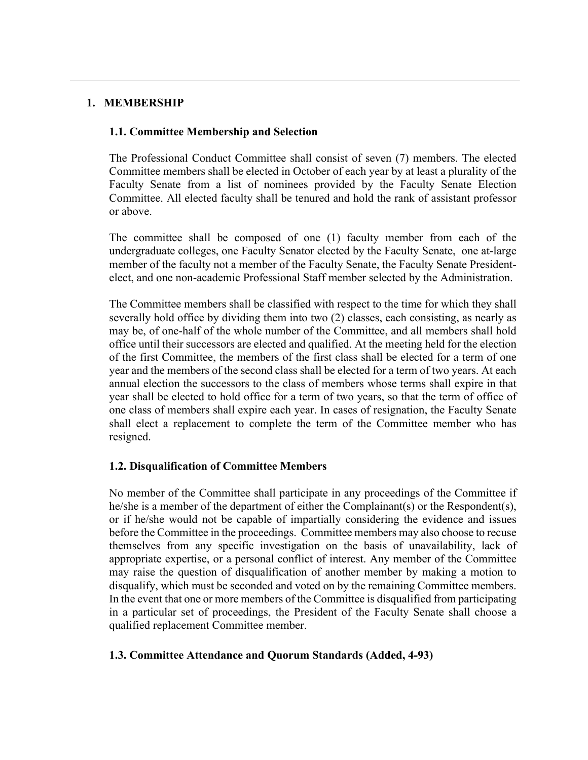#### **1. MEMBERSHIP**

#### **1.1. Committee Membership and Selection**

The Professional Conduct Committee shall consist of seven (7) members. The elected Committee members shall be elected in October of each year by at least a plurality of the Faculty Senate from a list of nominees provided by the Faculty Senate Election Committee. All elected faculty shall be tenured and hold the rank of assistant professor or above.

The committee shall be composed of one (1) faculty member from each of the undergraduate colleges, one Faculty Senator elected by the Faculty Senate, one at-large member of the faculty not a member of the Faculty Senate, the Faculty Senate Presidentelect, and one non-academic Professional Staff member selected by the Administration.

The Committee members shall be classified with respect to the time for which they shall severally hold office by dividing them into two (2) classes, each consisting, as nearly as may be, of one-half of the whole number of the Committee, and all members shall hold office until their successors are elected and qualified. At the meeting held for the election of the first Committee, the members of the first class shall be elected for a term of one year and the members of the second class shall be elected for a term of two years. At each annual election the successors to the class of members whose terms shall expire in that year shall be elected to hold office for a term of two years, so that the term of office of one class of members shall expire each year. In cases of resignation, the Faculty Senate shall elect a replacement to complete the term of the Committee member who has resigned.

#### **1.2. Disqualification of Committee Members**

No member of the Committee shall participate in any proceedings of the Committee if he/she is a member of the department of either the Complainant(s) or the Respondent(s), or if he/she would not be capable of impartially considering the evidence and issues before the Committee in the proceedings. Committee members may also choose to recuse themselves from any specific investigation on the basis of unavailability, lack of appropriate expertise, or a personal conflict of interest. Any member of the Committee may raise the question of disqualification of another member by making a motion to disqualify, which must be seconded and voted on by the remaining Committee members. In the event that one or more members of the Committee is disqualified from participating in a particular set of proceedings, the President of the Faculty Senate shall choose a qualified replacement Committee member.

#### **1.3. Committee Attendance and Quorum Standards (Added, 4-93)**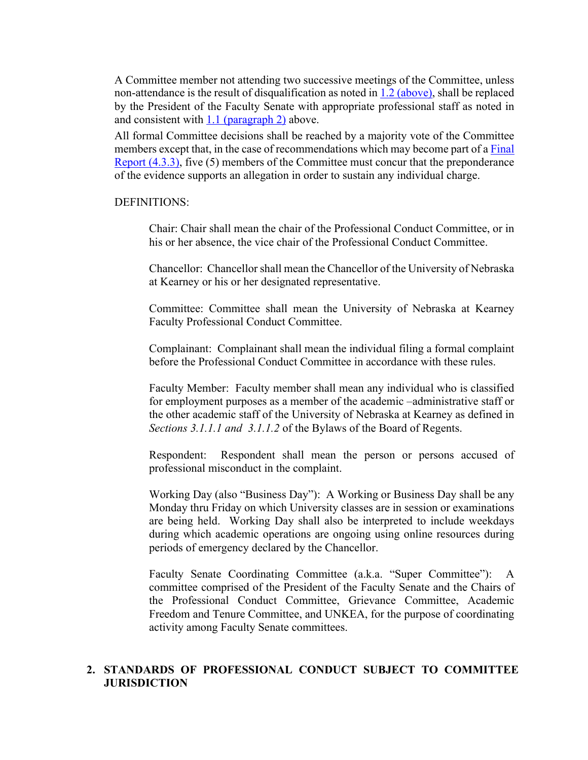A Committee member not attending two successive meetings of the Committee, unless non-attendance is the result of disqualification as noted in 1.2 (above), shall be replaced by the President of the Faculty Senate with appropriate professional staff as noted in and consistent with 1.1 (paragraph 2) above.

All formal Committee decisions shall be reached by a majority vote of the Committee members except that, in the case of recommendations which may become part of a Final Report (4.3.3), five (5) members of the Committee must concur that the preponderance of the evidence supports an allegation in order to sustain any individual charge.

#### DEFINITIONS:

Chair: Chair shall mean the chair of the Professional Conduct Committee, or in his or her absence, the vice chair of the Professional Conduct Committee.

Chancellor: Chancellor shall mean the Chancellor of the University of Nebraska at Kearney or his or her designated representative.

Committee: Committee shall mean the University of Nebraska at Kearney Faculty Professional Conduct Committee.

Complainant: Complainant shall mean the individual filing a formal complaint before the Professional Conduct Committee in accordance with these rules.

Faculty Member: Faculty member shall mean any individual who is classified for employment purposes as a member of the academic –administrative staff or the other academic staff of the University of Nebraska at Kearney as defined in *Sections 3.1.1.1 and 3.1.1.2* of the Bylaws of the Board of Regents.

Respondent: Respondent shall mean the person or persons accused of professional misconduct in the complaint.

Working Day (also "Business Day"): A Working or Business Day shall be any Monday thru Friday on which University classes are in session or examinations are being held. Working Day shall also be interpreted to include weekdays during which academic operations are ongoing using online resources during periods of emergency declared by the Chancellor.

Faculty Senate Coordinating Committee (a.k.a. "Super Committee"): A committee comprised of the President of the Faculty Senate and the Chairs of the Professional Conduct Committee, Grievance Committee, Academic Freedom and Tenure Committee, and UNKEA, for the purpose of coordinating activity among Faculty Senate committees.

#### **2. STANDARDS OF PROFESSIONAL CONDUCT SUBJECT TO COMMITTEE JURISDICTION**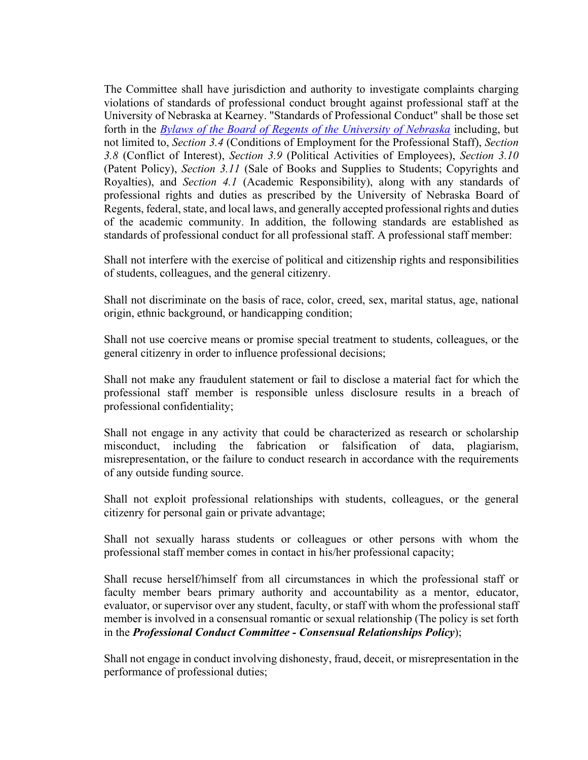The Committee shall have jurisdiction and authority to investigate complaints charging violations of standards of professional conduct brought against professional staff at the University of Nebraska at Kearney. "Standards of Professional Conduct" shall be those set forth in the *Bylaws of the Board of Regents of the University of Nebraska* including, but not limited to, *Section 3.4* (Conditions of Employment for the Professional Staff), *Section 3.8* (Conflict of Interest), *Section 3.9* (Political Activities of Employees), *Section 3.10* (Patent Policy), *Section 3.11* (Sale of Books and Supplies to Students; Copyrights and Royalties), and *Section 4.1* (Academic Responsibility), along with any standards of professional rights and duties as prescribed by the University of Nebraska Board of Regents, federal, state, and local laws, and generally accepted professional rights and duties of the academic community. In addition, the following standards are established as standards of professional conduct for all professional staff. A professional staff member:

Shall not interfere with the exercise of political and citizenship rights and responsibilities of students, colleagues, and the general citizenry.

Shall not discriminate on the basis of race, color, creed, sex, marital status, age, national origin, ethnic background, or handicapping condition;

Shall not use coercive means or promise special treatment to students, colleagues, or the general citizenry in order to influence professional decisions;

Shall not make any fraudulent statement or fail to disclose a material fact for which the professional staff member is responsible unless disclosure results in a breach of professional confidentiality;

Shall not engage in any activity that could be characterized as research or scholarship misconduct, including the fabrication or falsification of data, plagiarism, misrepresentation, or the failure to conduct research in accordance with the requirements of any outside funding source.

Shall not exploit professional relationships with students, colleagues, or the general citizenry for personal gain or private advantage;

Shall not sexually harass students or colleagues or other persons with whom the professional staff member comes in contact in his/her professional capacity;

Shall recuse herself/himself from all circumstances in which the professional staff or faculty member bears primary authority and accountability as a mentor, educator, evaluator, or supervisor over any student, faculty, or staff with whom the professional staff member is involved in a consensual romantic or sexual relationship (The policy is set forth in the *Professional Conduct Committee - Consensual Relationships Policy*);

Shall not engage in conduct involving dishonesty, fraud, deceit, or misrepresentation in the performance of professional duties;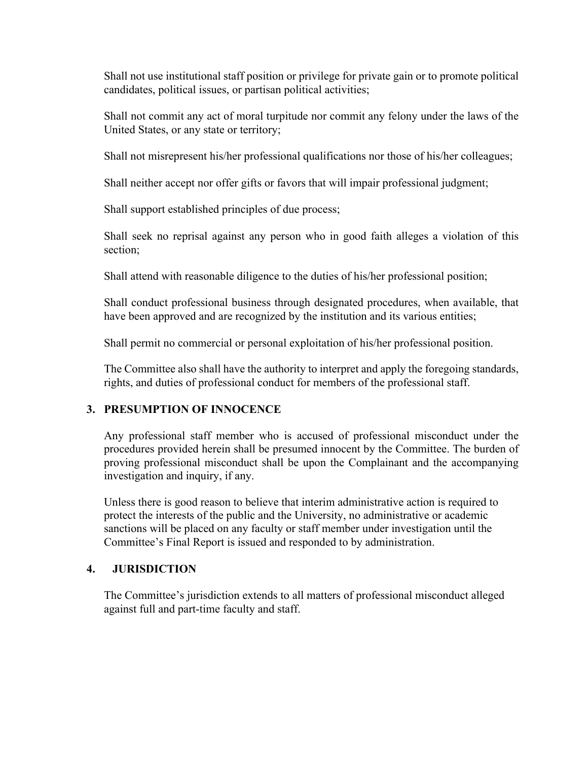Shall not use institutional staff position or privilege for private gain or to promote political candidates, political issues, or partisan political activities;

Shall not commit any act of moral turpitude nor commit any felony under the laws of the United States, or any state or territory;

Shall not misrepresent his/her professional qualifications nor those of his/her colleagues;

Shall neither accept nor offer gifts or favors that will impair professional judgment;

Shall support established principles of due process;

Shall seek no reprisal against any person who in good faith alleges a violation of this section;

Shall attend with reasonable diligence to the duties of his/her professional position;

Shall conduct professional business through designated procedures, when available, that have been approved and are recognized by the institution and its various entities;

Shall permit no commercial or personal exploitation of his/her professional position.

The Committee also shall have the authority to interpret and apply the foregoing standards, rights, and duties of professional conduct for members of the professional staff.

## **3. PRESUMPTION OF INNOCENCE**

Any professional staff member who is accused of professional misconduct under the procedures provided herein shall be presumed innocent by the Committee. The burden of proving professional misconduct shall be upon the Complainant and the accompanying investigation and inquiry, if any.

Unless there is good reason to believe that interim administrative action is required to protect the interests of the public and the University, no administrative or academic sanctions will be placed on any faculty or staff member under investigation until the Committee's Final Report is issued and responded to by administration.

## **4. JURISDICTION**

The Committee's jurisdiction extends to all matters of professional misconduct alleged against full and part-time faculty and staff.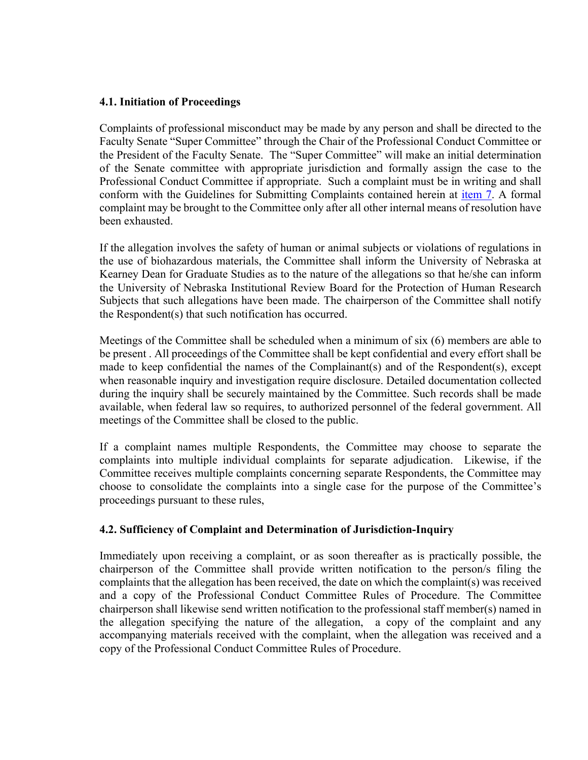#### **4.1. Initiation of Proceedings**

Complaints of professional misconduct may be made by any person and shall be directed to the Faculty Senate "Super Committee" through the Chair of the Professional Conduct Committee or the President of the Faculty Senate. The "Super Committee" will make an initial determination of the Senate committee with appropriate jurisdiction and formally assign the case to the Professional Conduct Committee if appropriate. Such a complaint must be in writing and shall conform with the Guidelines for Submitting Complaints contained herein at item 7. A formal complaint may be brought to the Committee only after all other internal means of resolution have been exhausted.

If the allegation involves the safety of human or animal subjects or violations of regulations in the use of biohazardous materials, the Committee shall inform the University of Nebraska at Kearney Dean for Graduate Studies as to the nature of the allegations so that he/she can inform the University of Nebraska Institutional Review Board for the Protection of Human Research Subjects that such allegations have been made. The chairperson of the Committee shall notify the Respondent(s) that such notification has occurred.

Meetings of the Committee shall be scheduled when a minimum of six (6) members are able to be present . All proceedings of the Committee shall be kept confidential and every effort shall be made to keep confidential the names of the Complainant(s) and of the Respondent(s), except when reasonable inquiry and investigation require disclosure. Detailed documentation collected during the inquiry shall be securely maintained by the Committee. Such records shall be made available, when federal law so requires, to authorized personnel of the federal government. All meetings of the Committee shall be closed to the public.

If a complaint names multiple Respondents, the Committee may choose to separate the complaints into multiple individual complaints for separate adjudication. Likewise, if the Committee receives multiple complaints concerning separate Respondents, the Committee may choose to consolidate the complaints into a single case for the purpose of the Committee's proceedings pursuant to these rules,

## **4.2. Sufficiency of Complaint and Determination of Jurisdiction-Inquiry**

Immediately upon receiving a complaint, or as soon thereafter as is practically possible, the chairperson of the Committee shall provide written notification to the person/s filing the complaints that the allegation has been received, the date on which the complaint(s) was received and a copy of the Professional Conduct Committee Rules of Procedure. The Committee chairperson shall likewise send written notification to the professional staff member(s) named in the allegation specifying the nature of the allegation, a copy of the complaint and any accompanying materials received with the complaint, when the allegation was received and a copy of the Professional Conduct Committee Rules of Procedure.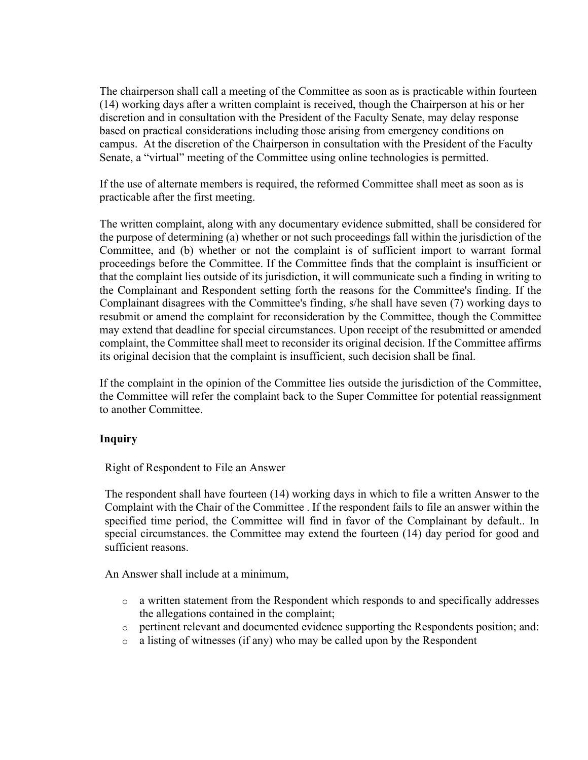The chairperson shall call a meeting of the Committee as soon as is practicable within fourteen (14) working days after a written complaint is received, though the Chairperson at his or her discretion and in consultation with the President of the Faculty Senate, may delay response based on practical considerations including those arising from emergency conditions on campus. At the discretion of the Chairperson in consultation with the President of the Faculty Senate, a "virtual" meeting of the Committee using online technologies is permitted.

If the use of alternate members is required, the reformed Committee shall meet as soon as is practicable after the first meeting.

The written complaint, along with any documentary evidence submitted, shall be considered for the purpose of determining (a) whether or not such proceedings fall within the jurisdiction of the Committee, and (b) whether or not the complaint is of sufficient import to warrant formal proceedings before the Committee. If the Committee finds that the complaint is insufficient or that the complaint lies outside of its jurisdiction, it will communicate such a finding in writing to the Complainant and Respondent setting forth the reasons for the Committee's finding. If the Complainant disagrees with the Committee's finding, s/he shall have seven (7) working days to resubmit or amend the complaint for reconsideration by the Committee, though the Committee may extend that deadline for special circumstances. Upon receipt of the resubmitted or amended complaint, the Committee shall meet to reconsider its original decision. If the Committee affirms its original decision that the complaint is insufficient, such decision shall be final.

If the complaint in the opinion of the Committee lies outside the jurisdiction of the Committee, the Committee will refer the complaint back to the Super Committee for potential reassignment to another Committee.

## **Inquiry**

Right of Respondent to File an Answer

The respondent shall have fourteen (14) working days in which to file a written Answer to the Complaint with the Chair of the Committee . If the respondent fails to file an answer within the specified time period, the Committee will find in favor of the Complainant by default.. In special circumstances. the Committee may extend the fourteen (14) day period for good and sufficient reasons.

An Answer shall include at a minimum,

- o a written statement from the Respondent which responds to and specifically addresses the allegations contained in the complaint;
- o pertinent relevant and documented evidence supporting the Respondents position; and:
- o a listing of witnesses (if any) who may be called upon by the Respondent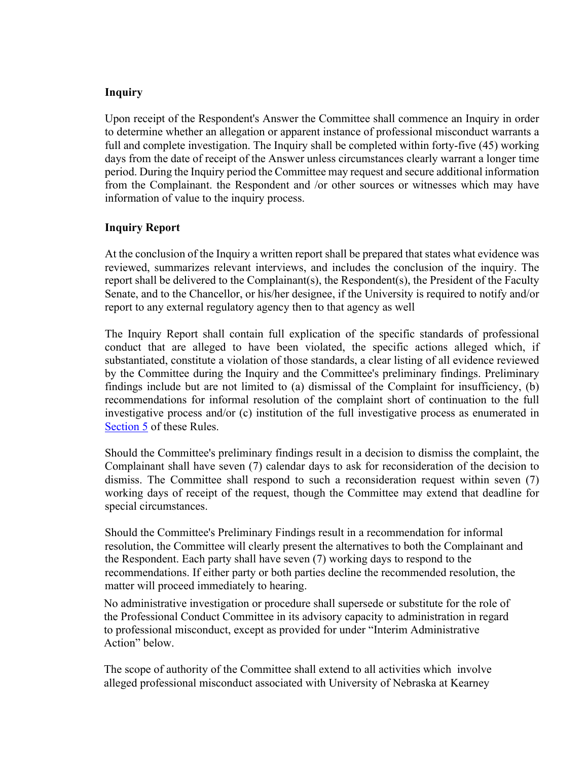#### **Inquiry**

Upon receipt of the Respondent's Answer the Committee shall commence an Inquiry in order to determine whether an allegation or apparent instance of professional misconduct warrants a full and complete investigation. The Inquiry shall be completed within forty-five (45) working days from the date of receipt of the Answer unless circumstances clearly warrant a longer time period. During the Inquiry period the Committee may request and secure additional information from the Complainant. the Respondent and /or other sources or witnesses which may have information of value to the inquiry process.

#### **Inquiry Report**

At the conclusion of the Inquiry a written report shall be prepared that states what evidence was reviewed, summarizes relevant interviews, and includes the conclusion of the inquiry. The report shall be delivered to the Complainant(s), the Respondent(s), the President of the Faculty Senate, and to the Chancellor, or his/her designee, if the University is required to notify and/or report to any external regulatory agency then to that agency as well

The Inquiry Report shall contain full explication of the specific standards of professional conduct that are alleged to have been violated, the specific actions alleged which, if substantiated, constitute a violation of those standards, a clear listing of all evidence reviewed by the Committee during the Inquiry and the Committee's preliminary findings. Preliminary findings include but are not limited to (a) dismissal of the Complaint for insufficiency, (b) recommendations for informal resolution of the complaint short of continuation to the full investigative process and/or (c) institution of the full investigative process as enumerated in Section 5 of these Rules.

Should the Committee's preliminary findings result in a decision to dismiss the complaint, the Complainant shall have seven (7) calendar days to ask for reconsideration of the decision to dismiss. The Committee shall respond to such a reconsideration request within seven (7) working days of receipt of the request, though the Committee may extend that deadline for special circumstances.

Should the Committee's Preliminary Findings result in a recommendation for informal resolution, the Committee will clearly present the alternatives to both the Complainant and the Respondent. Each party shall have seven (7) working days to respond to the recommendations. If either party or both parties decline the recommended resolution, the matter will proceed immediately to hearing.

No administrative investigation or procedure shall supersede or substitute for the role of the Professional Conduct Committee in its advisory capacity to administration in regard to professional misconduct, except as provided for under "Interim Administrative Action" below.

The scope of authority of the Committee shall extend to all activities which involve alleged professional misconduct associated with University of Nebraska at Kearney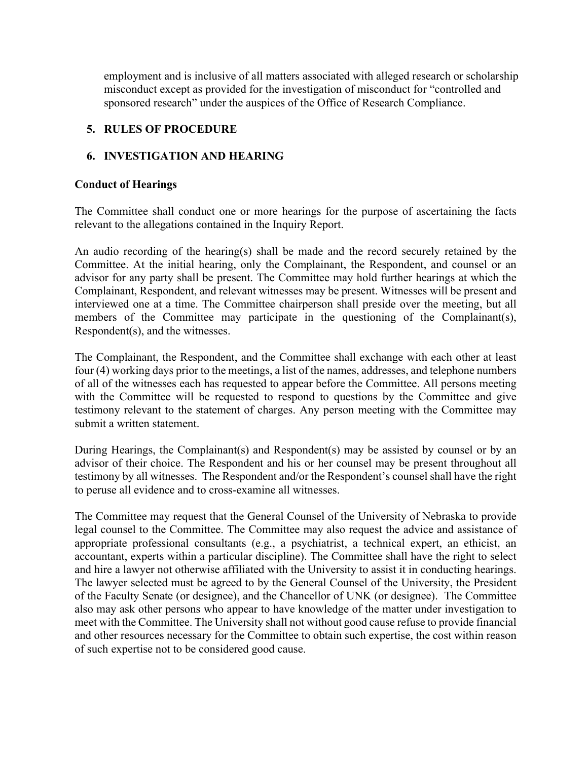employment and is inclusive of all matters associated with alleged research or scholarship misconduct except as provided for the investigation of misconduct for "controlled and sponsored research" under the auspices of the Office of Research Compliance.

## **5. RULES OF PROCEDURE**

## **6. INVESTIGATION AND HEARING**

#### **Conduct of Hearings**

The Committee shall conduct one or more hearings for the purpose of ascertaining the facts relevant to the allegations contained in the Inquiry Report.

An audio recording of the hearing(s) shall be made and the record securely retained by the Committee. At the initial hearing, only the Complainant, the Respondent, and counsel or an advisor for any party shall be present. The Committee may hold further hearings at which the Complainant, Respondent, and relevant witnesses may be present. Witnesses will be present and interviewed one at a time. The Committee chairperson shall preside over the meeting, but all members of the Committee may participate in the questioning of the Complainant(s), Respondent(s), and the witnesses.

The Complainant, the Respondent, and the Committee shall exchange with each other at least four (4) working days prior to the meetings, a list of the names, addresses, and telephone numbers of all of the witnesses each has requested to appear before the Committee. All persons meeting with the Committee will be requested to respond to questions by the Committee and give testimony relevant to the statement of charges. Any person meeting with the Committee may submit a written statement.

During Hearings, the Complainant(s) and Respondent(s) may be assisted by counsel or by an advisor of their choice. The Respondent and his or her counsel may be present throughout all testimony by all witnesses. The Respondent and/or the Respondent's counsel shall have the right to peruse all evidence and to cross-examine all witnesses.

The Committee may request that the General Counsel of the University of Nebraska to provide legal counsel to the Committee. The Committee may also request the advice and assistance of appropriate professional consultants (e.g., a psychiatrist, a technical expert, an ethicist, an accountant, experts within a particular discipline). The Committee shall have the right to select and hire a lawyer not otherwise affiliated with the University to assist it in conducting hearings. The lawyer selected must be agreed to by the General Counsel of the University, the President of the Faculty Senate (or designee), and the Chancellor of UNK (or designee). The Committee also may ask other persons who appear to have knowledge of the matter under investigation to meet with the Committee. The University shall not without good cause refuse to provide financial and other resources necessary for the Committee to obtain such expertise, the cost within reason of such expertise not to be considered good cause.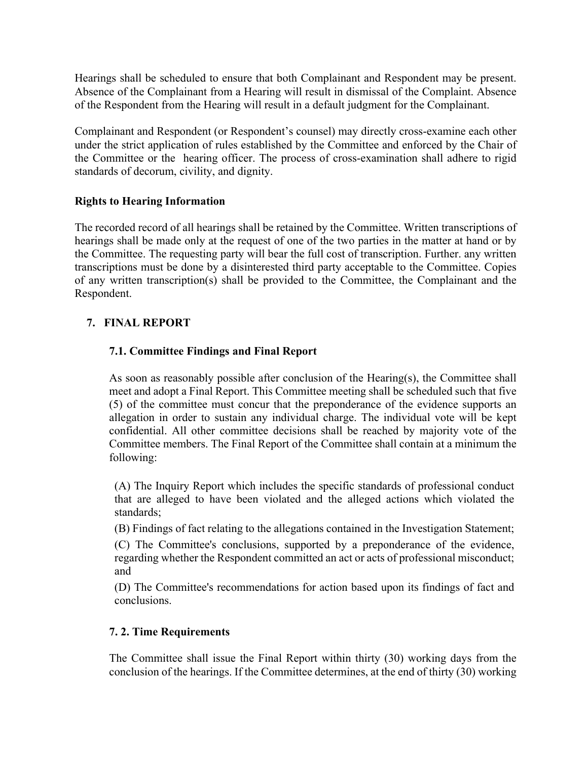Hearings shall be scheduled to ensure that both Complainant and Respondent may be present. Absence of the Complainant from a Hearing will result in dismissal of the Complaint. Absence of the Respondent from the Hearing will result in a default judgment for the Complainant.

Complainant and Respondent (or Respondent's counsel) may directly cross-examine each other under the strict application of rules established by the Committee and enforced by the Chair of the Committee or the hearing officer. The process of cross-examination shall adhere to rigid standards of decorum, civility, and dignity.

#### **Rights to Hearing Information**

The recorded record of all hearings shall be retained by the Committee. Written transcriptions of hearings shall be made only at the request of one of the two parties in the matter at hand or by the Committee. The requesting party will bear the full cost of transcription. Further. any written transcriptions must be done by a disinterested third party acceptable to the Committee. Copies of any written transcription(s) shall be provided to the Committee, the Complainant and the Respondent.

## **7. FINAL REPORT**

## **7.1. Committee Findings and Final Report**

As soon as reasonably possible after conclusion of the Hearing(s), the Committee shall meet and adopt a Final Report. This Committee meeting shall be scheduled such that five (5) of the committee must concur that the preponderance of the evidence supports an allegation in order to sustain any individual charge. The individual vote will be kept confidential. All other committee decisions shall be reached by majority vote of the Committee members. The Final Report of the Committee shall contain at a minimum the following:

(A) The Inquiry Report which includes the specific standards of professional conduct that are alleged to have been violated and the alleged actions which violated the standards;

(B) Findings of fact relating to the allegations contained in the Investigation Statement;

(C) The Committee's conclusions, supported by a preponderance of the evidence, regarding whether the Respondent committed an act or acts of professional misconduct; and

(D) The Committee's recommendations for action based upon its findings of fact and conclusions.

#### **7. 2. Time Requirements**

The Committee shall issue the Final Report within thirty (30) working days from the conclusion of the hearings. If the Committee determines, at the end of thirty (30) working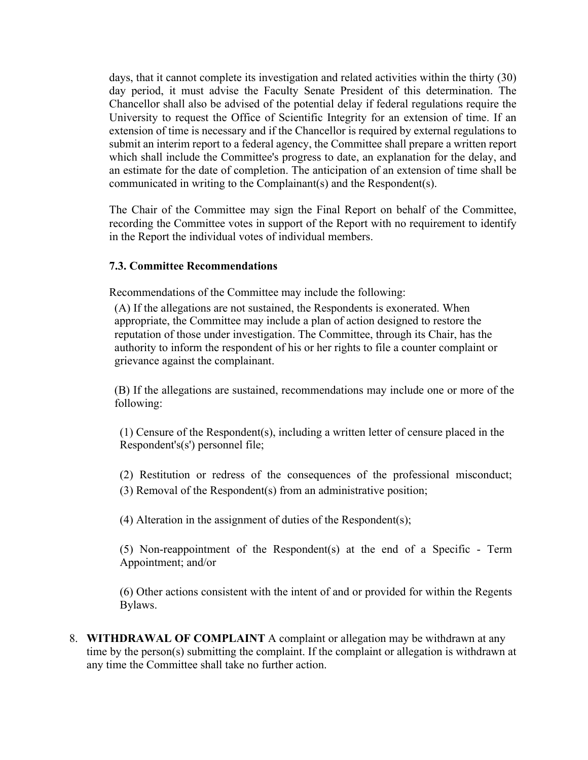days, that it cannot complete its investigation and related activities within the thirty (30) day period, it must advise the Faculty Senate President of this determination. The Chancellor shall also be advised of the potential delay if federal regulations require the University to request the Office of Scientific Integrity for an extension of time. If an extension of time is necessary and if the Chancellor is required by external regulations to submit an interim report to a federal agency, the Committee shall prepare a written report which shall include the Committee's progress to date, an explanation for the delay, and an estimate for the date of completion. The anticipation of an extension of time shall be communicated in writing to the Complainant(s) and the Respondent(s).

The Chair of the Committee may sign the Final Report on behalf of the Committee, recording the Committee votes in support of the Report with no requirement to identify in the Report the individual votes of individual members.

#### **7.3. Committee Recommendations**

Recommendations of the Committee may include the following:

(A) If the allegations are not sustained, the Respondents is exonerated. When appropriate, the Committee may include a plan of action designed to restore the reputation of those under investigation. The Committee, through its Chair, has the authority to inform the respondent of his or her rights to file a counter complaint or grievance against the complainant.

(B) If the allegations are sustained, recommendations may include one or more of the following:

(1) Censure of the Respondent(s), including a written letter of censure placed in the Respondent's(s') personnel file;

(2) Restitution or redress of the consequences of the professional misconduct; (3) Removal of the Respondent(s) from an administrative position;

(4) Alteration in the assignment of duties of the Respondent(s);

(5) Non-reappointment of the Respondent(s) at the end of a Specific - Term Appointment; and/or

(6) Other actions consistent with the intent of and or provided for within the Regents Bylaws.

8. **WITHDRAWAL OF COMPLAINT** A complaint or allegation may be withdrawn at any time by the person(s) submitting the complaint. If the complaint or allegation is withdrawn at any time the Committee shall take no further action.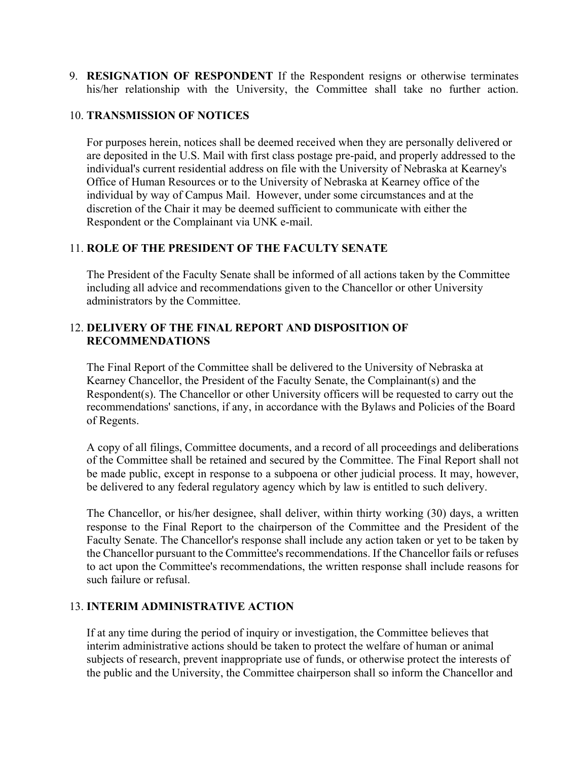9. **RESIGNATION OF RESPONDENT** If the Respondent resigns or otherwise terminates his/her relationship with the University, the Committee shall take no further action.

#### 10. **TRANSMISSION OF NOTICES**

For purposes herein, notices shall be deemed received when they are personally delivered or are deposited in the U.S. Mail with first class postage pre-paid, and properly addressed to the individual's current residential address on file with the University of Nebraska at Kearney's Office of Human Resources or to the University of Nebraska at Kearney office of the individual by way of Campus Mail. However, under some circumstances and at the discretion of the Chair it may be deemed sufficient to communicate with either the Respondent or the Complainant via UNK e-mail.

## 11. **ROLE OF THE PRESIDENT OF THE FACULTY SENATE**

The President of the Faculty Senate shall be informed of all actions taken by the Committee including all advice and recommendations given to the Chancellor or other University administrators by the Committee.

## 12. **DELIVERY OF THE FINAL REPORT AND DISPOSITION OF RECOMMENDATIONS**

The Final Report of the Committee shall be delivered to the University of Nebraska at Kearney Chancellor, the President of the Faculty Senate, the Complainant(s) and the Respondent(s). The Chancellor or other University officers will be requested to carry out the recommendations' sanctions, if any, in accordance with the Bylaws and Policies of the Board of Regents.

A copy of all filings, Committee documents, and a record of all proceedings and deliberations of the Committee shall be retained and secured by the Committee. The Final Report shall not be made public, except in response to a subpoena or other judicial process. It may, however, be delivered to any federal regulatory agency which by law is entitled to such delivery.

The Chancellor, or his/her designee, shall deliver, within thirty working (30) days, a written response to the Final Report to the chairperson of the Committee and the President of the Faculty Senate. The Chancellor's response shall include any action taken or yet to be taken by the Chancellor pursuant to the Committee's recommendations. If the Chancellor fails or refuses to act upon the Committee's recommendations, the written response shall include reasons for such failure or refusal.

## 13. **INTERIM ADMINISTRATIVE ACTION**

If at any time during the period of inquiry or investigation, the Committee believes that interim administrative actions should be taken to protect the welfare of human or animal subjects of research, prevent inappropriate use of funds, or otherwise protect the interests of the public and the University, the Committee chairperson shall so inform the Chancellor and